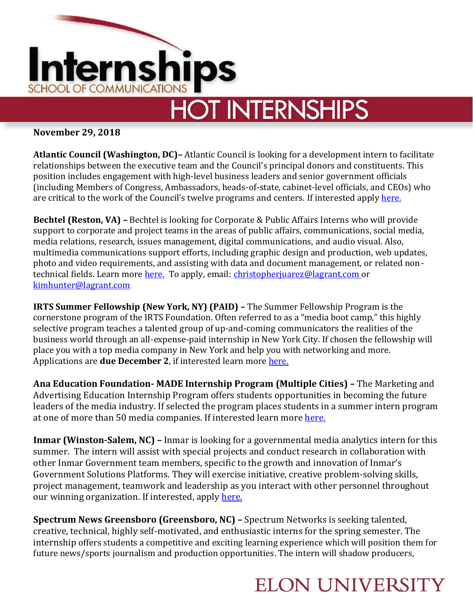

## **HOT INTERNSHIPS**

## **November 29, 2018**

**Atlantic Council (Washington, DC)–** Atlantic Council is looking for a development intern to facilitate relationships between the executive team and the Council's principal donors and constituents. This position includes engagement with high-level business leaders and senior government officials (including Members of Congress, Ambassadors, heads-of-state, cabinet-level officials, and CEOs) who are critical to the work of the Council's twelve programs and centers. If interested apply [here.](https://www.biginternships.com/internship/atlantic-council-washington-dc-2-dev-internspring2019-atlantic-council-washington-dc/?ar=1)

**Bechtel (Reston, VA) –** Bechtel is looking for Corporate & Public Affairs Interns who will provide support to corporate and project teams in the areas of public affairs, communications, social media, media relations, research, issues management, digital communications, and audio visual. Also, multimedia communications support efforts, including graphic design and production, web updates, photo and video requirements, and assisting with data and document management, or related nontechnical fields. Learn more [here.](https://www.linkedin.com/jobs/view/2019-student-internship-u-s-corporate-public-affairs-1-va3-at-bechtel-corporation-942198999/) To apply, email: *[christopherjuarez@lagrant.com](mailto:christopherjuarez@lagrant.com)* or [kimhunter@lagrant.com](mailto:kimhunter@lagrant.com)

**IRTS Summer Fellowship (New York, NY) (PAID) –** The Summer Fellowship Program is the cornerstone program of the IRTS Foundation. Often referred to as a "media boot camp," this highly selective program teaches a talented group of up-and-coming communicators the realities of the business world through an all-expense-paid internship in New York City. If chosen the fellowship will place you with a top media company in New York and help you with networking and more. Applications are **due December 2**, if interested learn more [here.](http://irtsfoundation.org/college-programs/summer-fellowship/)

**Ana Education Foundation- MADE Internship Program (Multiple Cities) –** The Marketing and Advertising Education Internship Program offers students opportunities in becoming the future leaders of the media industry. If selected the program places students in a summer intern program at one of more than 50 media companies. If interested learn mor[e here.](https://aef.com/building-talent/made-internship-program/made-students/)

**Inmar (Winston-Salem, NC) –** Inmar is looking for a governmental media analytics intern for this summer. The intern will assist with special projects and conduct research in collaboration with other Inmar Government team members, specific to the growth and innovation of Inmar's Government Solutions Platforms. They will exercise initiative, creative problem-solving skills, project management, teamwork and leadership as you interact with other personnel throughout our winning organization. If interested, apply [here.](https://www.linkedin.com/jobs/view/979952892/)

**Spectrum News Greensboro (Greensboro, NC) –** Spectrum Networks is seeking talented, creative, technical, highly self-motivated, and enthusiastic interns for the spring semester. The internship offers students a competitive and exciting learning experience which will position them for future news/sports journalism and production opportunities. The intern will shadow producers,

## **ELON UNIVERSITY**